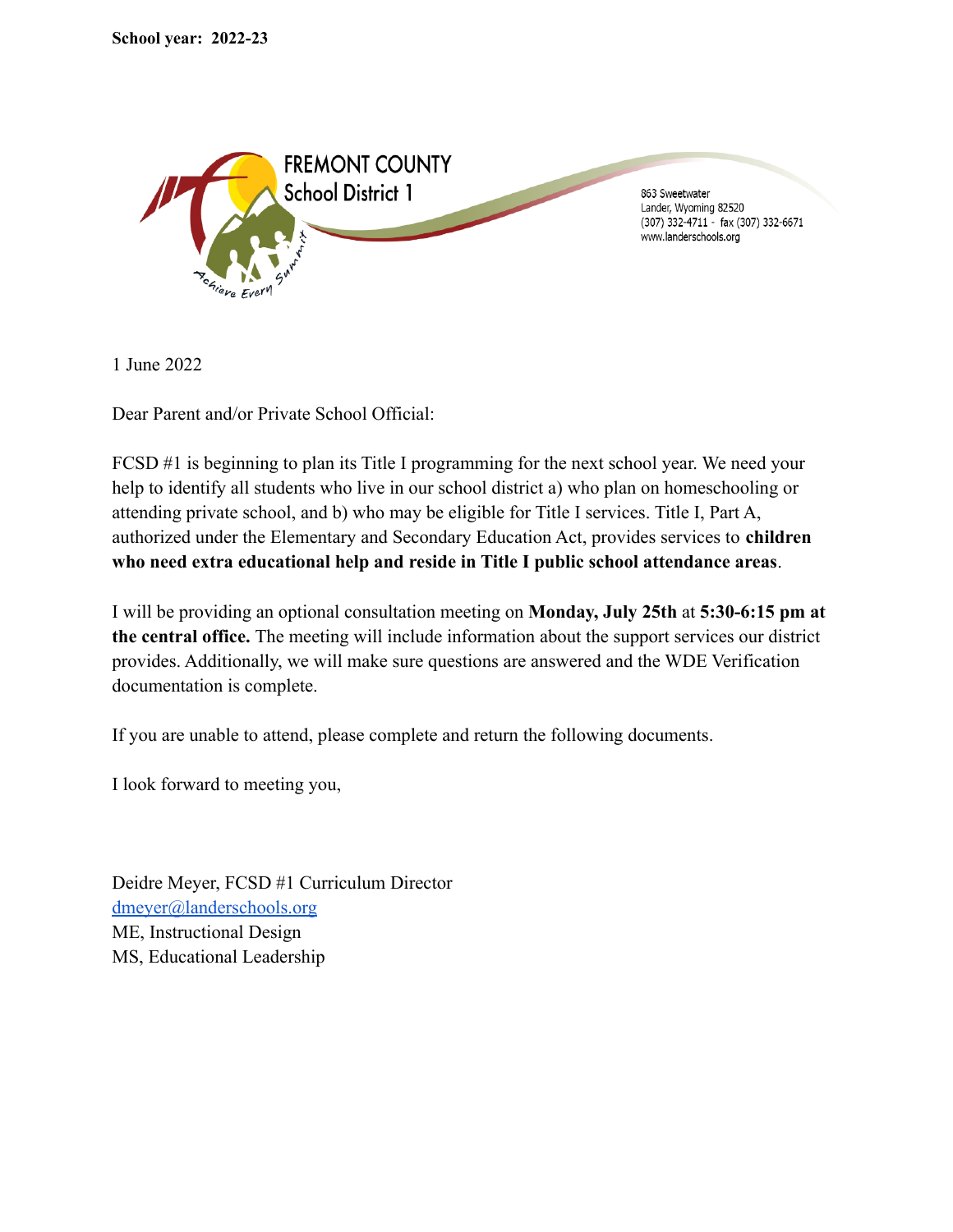

1 June 2022

Dear Parent and/or Private School Official:

FCSD #1 is beginning to plan its Title I programming for the next school year. We need your help to identify all students who live in our school district a) who plan on homeschooling or attending private school, and b) who may be eligible for Title I services. Title I, Part A, authorized under the Elementary and Secondary Education Act, provides services to **children who need extra educational help and reside in Title I public school attendance areas**.

I will be providing an optional consultation meeting on **Monday, July 25th** at **5:30-6:15 pm at the central office.** The meeting will include information about the support services our district provides. Additionally, we will make sure questions are answered and the WDE Verification documentation is complete.

If you are unable to attend, please complete and return the following documents.

I look forward to meeting you,

Deidre Meyer, FCSD #1 Curriculum Director [dmeyer@landerschools.org](mailto:dmeyer@landerschools.org) ME, Instructional Design MS, Educational Leadership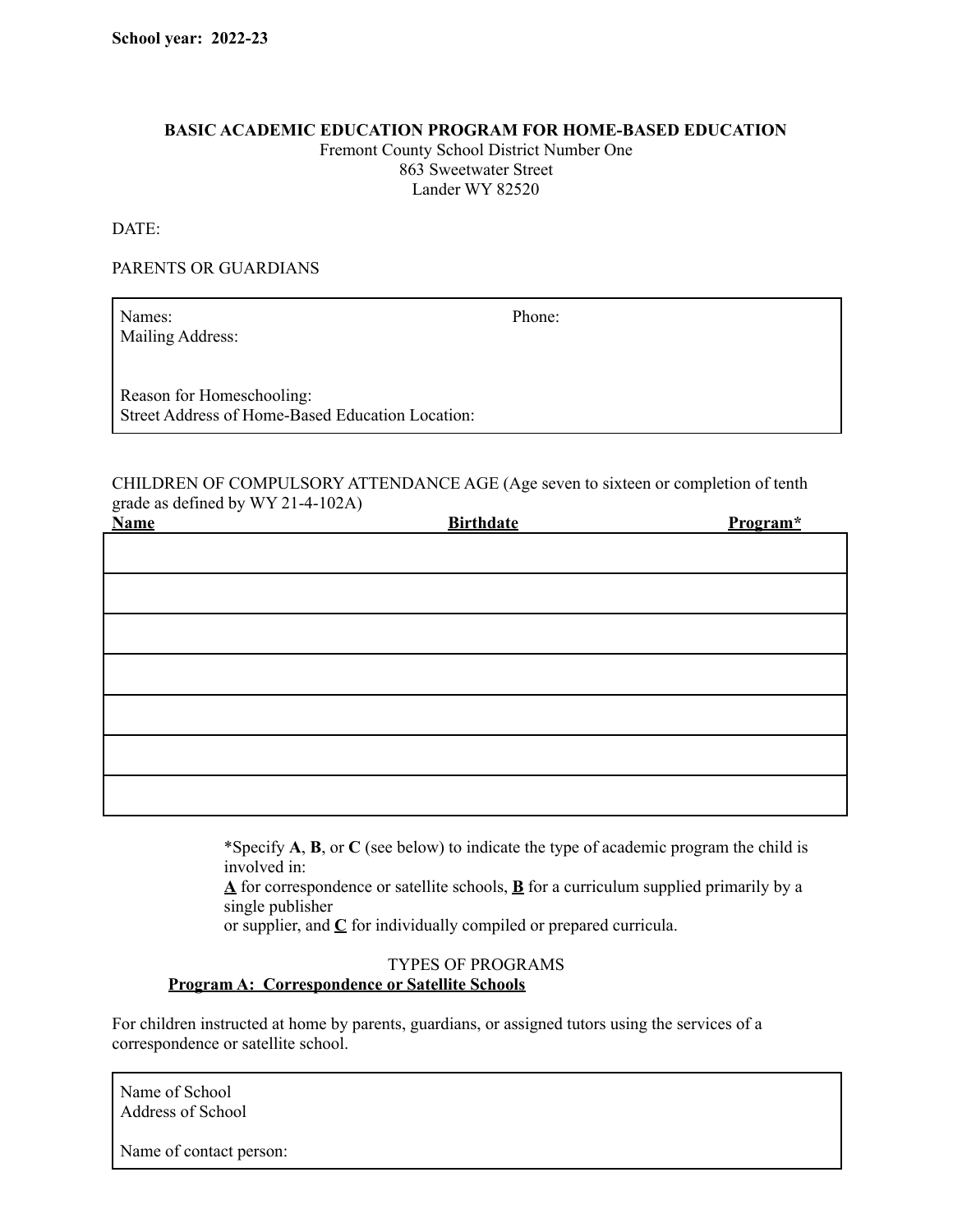#### **BASIC ACADEMIC EDUCATION PROGRAM FOR HOME-BASED EDUCATION**

Fremont County School District Number One 863 Sweetwater Street Lander WY 82520

DATE:

## PARENTS OR GUARDIANS

Names: Phone: Mailing Address:

Reason for Homeschooling: Street Address of Home-Based Education Location:

CHILDREN OF COMPULSORY ATTENDANCE AGE (Age seven to sixteen or completion of tenth grade as defined by WY 21-4-102A)

| <b>Name</b> | <b>Birthdate</b> | Program* |
|-------------|------------------|----------|
|             |                  |          |
|             |                  |          |
|             |                  |          |
|             |                  |          |
|             |                  |          |
|             |                  |          |
|             |                  |          |
|             |                  |          |

\*Specify **A**, **B**, or **C** (see below) to indicate the type of academic program the child is involved in:

 $\Delta$  for correspondence or satellite schools,  $\overline{\mathbf{B}}$  for a curriculum supplied primarily by a single publisher

or supplier, and **C** for individually compiled or prepared curricula.

#### TYPES OF PROGRAMS **Program A: Correspondence or Satellite Schools**

For children instructed at home by parents, guardians, or assigned tutors using the services of a correspondence or satellite school.

Name of School Address of School

Name of contact person: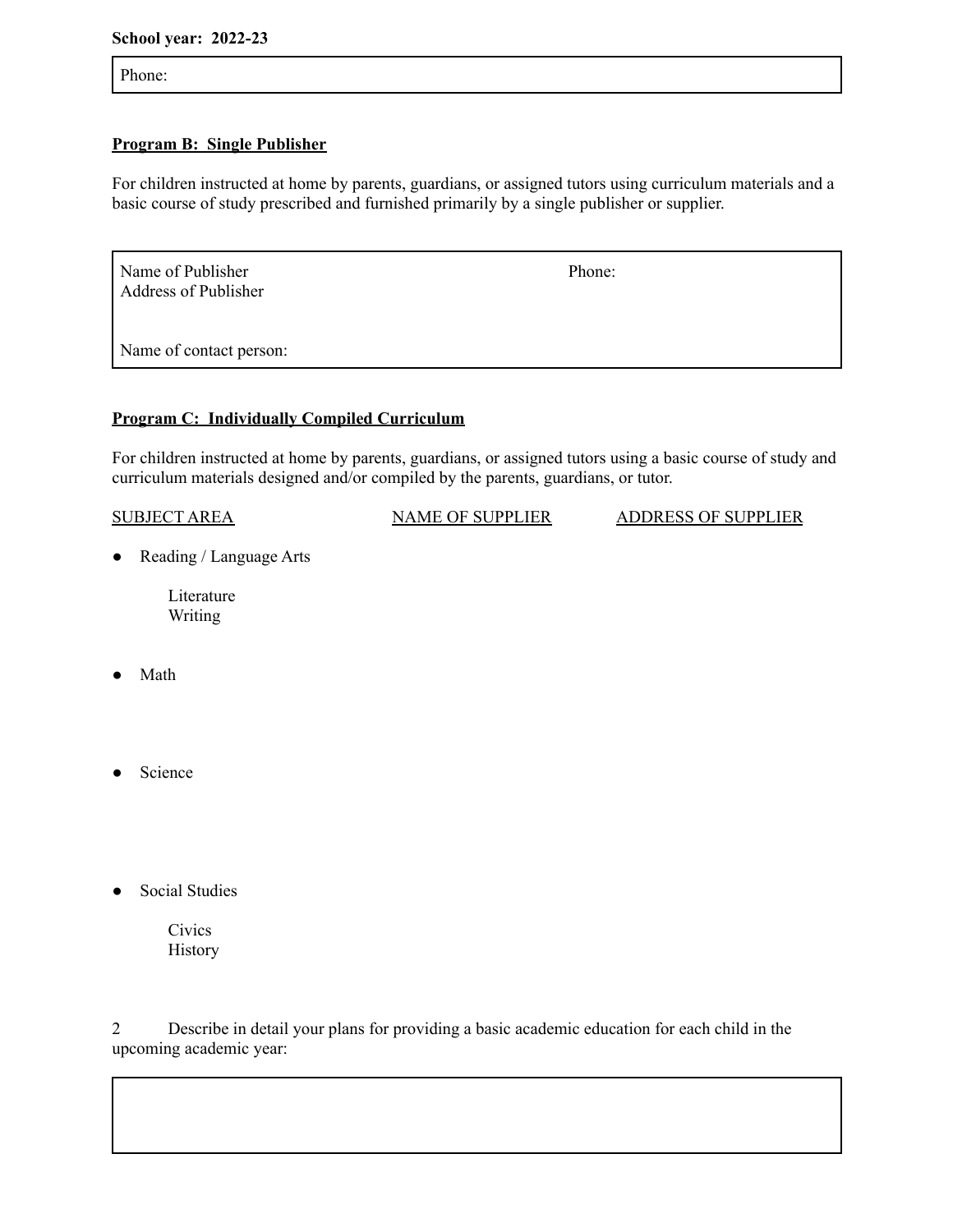#### **School year: 2022-23**

Phone:

## **Program B: Single Publisher**

For children instructed at home by parents, guardians, or assigned tutors using curriculum materials and a basic course of study prescribed and furnished primarily by a single publisher or supplier.

Name of Publisher Phone: Address of Publisher

Name of contact person:

# **Program C: Individually Compiled Curriculum**

For children instructed at home by parents, guardians, or assigned tutors using a basic course of study and curriculum materials designed and/or compiled by the parents, guardians, or tutor.

| <b>SUBJECT AREA</b> | <b>NAME OF SUPPLIER</b> | <b>ADDRESS OF SUPPLIER</b> |
|---------------------|-------------------------|----------------------------|
|                     |                         |                            |

● Reading / Language Arts

Literature Writing

- Math
- Science
- **Social Studies**

**Civics** History

2 Describe in detail your plans for providing a basic academic education for each child in the upcoming academic year: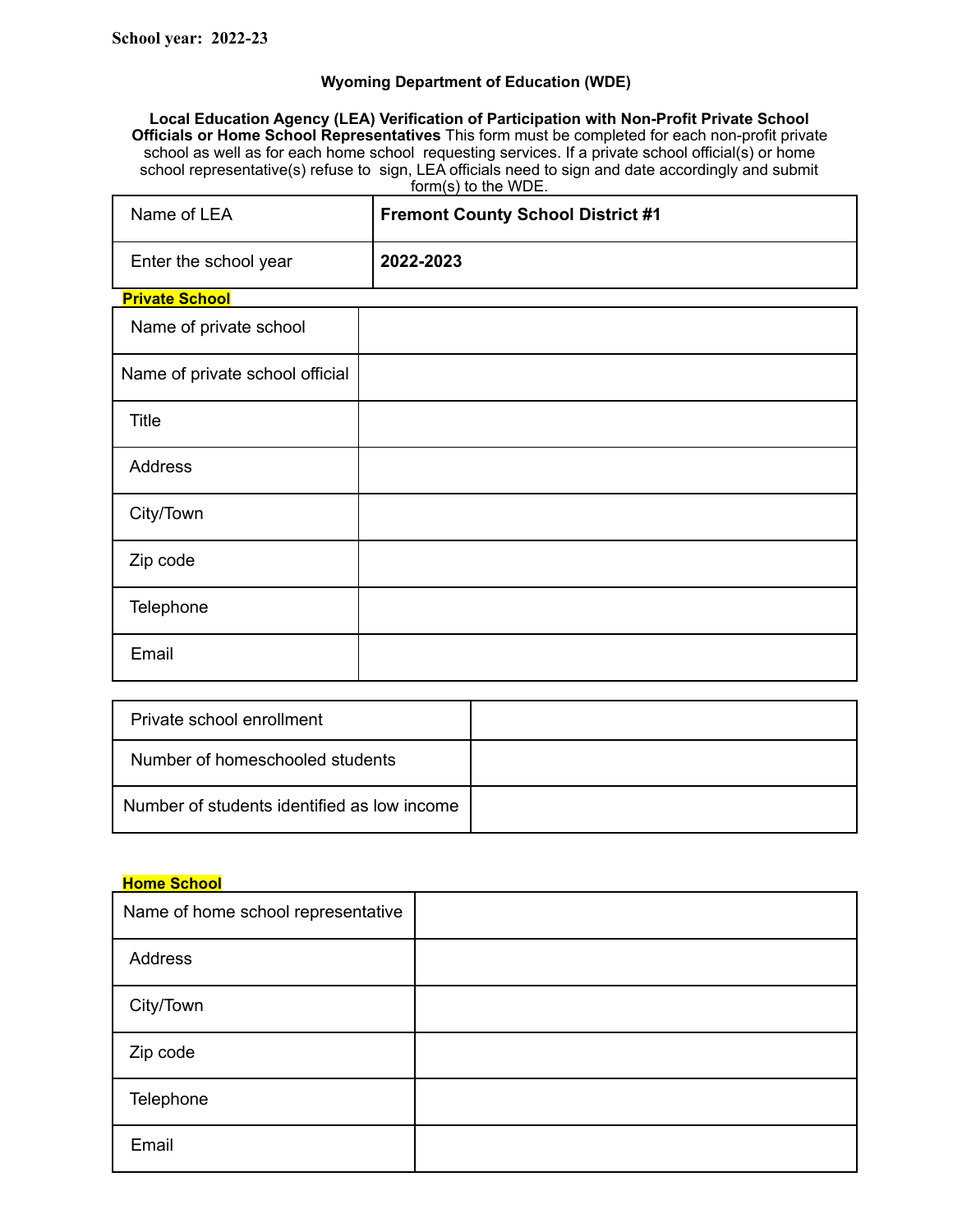## **Wyoming Department of Education (WDE)**

**Local Education Agency (LEA) Verification of Participation with Non-Profit Private School Officials or Home School Representatives** This form must be completed for each non-profit private school as well as for each home school requesting services. If a private school official(s) or home school representative(s) refuse to sign, LEA officials need to sign and date accordingly and submit form(s) to the WDE.

| Name of LEA                     | <b>Fremont County School District #1</b> |
|---------------------------------|------------------------------------------|
| Enter the school year           | 2022-2023                                |
| <b>Private School</b>           |                                          |
| Name of private school          |                                          |
| Name of private school official |                                          |
| <b>Title</b>                    |                                          |
| Address                         |                                          |
| City/Town                       |                                          |
| Zip code                        |                                          |
| Telephone                       |                                          |
| Email                           |                                          |

| Private school enrollment                   |  |
|---------------------------------------------|--|
| Number of homeschooled students             |  |
| Number of students identified as low income |  |

### **Home School**

| Name of home school representative |  |
|------------------------------------|--|
| Address                            |  |
| City/Town                          |  |
| Zip code                           |  |
| Telephone                          |  |
| Email                              |  |